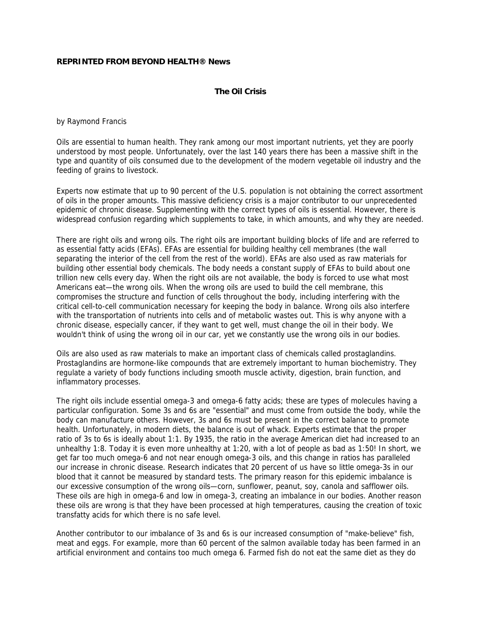## **REPRINTED FROM BEYOND HEALTH® News**

## **The Oil Crisis**

by Raymond Francis

Oils are essential to human health. They rank among our most important nutrients, yet they are poorly understood by most people. Unfortunately, over the last 140 years there has been a massive shift in the type and quantity of oils consumed due to the development of the modern vegetable oil industry and the feeding of grains to livestock.

Experts now estimate that up to 90 percent of the U.S. population is not obtaining the correct assortment of oils in the proper amounts. This massive deficiency crisis is a major contributor to our unprecedented epidemic of chronic disease. Supplementing with the correct types of oils is essential. However, there is widespread confusion regarding which supplements to take, in which amounts, and why they are needed.

There are right oils and wrong oils. The right oils are important building blocks of life and are referred to as essential fatty acids (EFAs). EFAs are essential for building healthy cell membranes (the wall separating the interior of the cell from the rest of the world). EFAs are also used as raw materials for building other essential body chemicals. The body needs a constant supply of EFAs to build about one trillion new cells every day. When the right oils are not available, the body is forced to use what most Americans eat—the wrong oils. When the wrong oils are used to build the cell membrane, this compromises the structure and function of cells throughout the body, including interfering with the critical cell-to-cell communication necessary for keeping the body in balance. Wrong oils also interfere with the transportation of nutrients into cells and of metabolic wastes out. This is why anyone with a chronic disease, especially cancer, if they want to get well, must change the oil in their body. We wouldn't think of using the wrong oil in our car, yet we constantly use the wrong oils in our bodies.

Oils are also used as raw materials to make an important class of chemicals called prostaglandins. Prostaglandins are hormone-like compounds that are extremely important to human biochemistry. They regulate a variety of body functions including smooth muscle activity, digestion, brain function, and inflammatory processes.

The right oils include essential omega-3 and omega-6 fatty acids; these are types of molecules having a particular configuration. Some 3s and 6s are "essential" and must come from outside the body, while the body can manufacture others. However, 3s and 6s must be present in the correct balance to promote health. Unfortunately, in modern diets, the balance is out of whack. Experts estimate that the proper ratio of 3s to 6s is ideally about 1:1. By 1935, the ratio in the average American diet had increased to an unhealthy 1:8. Today it is even more unhealthy at 1:20, with a lot of people as bad as 1:50! In short, we get far too much omega-6 and not near enough omega-3 oils, and this change in ratios has paralleled our increase in chronic disease. Research indicates that 20 percent of us have so little omega-3s in our blood that it cannot be measured by standard tests. The primary reason for this epidemic imbalance is our excessive consumption of the wrong oils—corn, sunflower, peanut, soy, canola and safflower oils. These oils are high in omega-6 and low in omega-3, creating an imbalance in our bodies. Another reason these oils are wrong is that they have been processed at high temperatures, causing the creation of toxic transfatty acids for which there is no safe level.

Another contributor to our imbalance of 3s and 6s is our increased consumption of "make-believe" fish, meat and eggs. For example, more than 60 percent of the salmon available today has been farmed in an artificial environment and contains too much omega 6. Farmed fish do not eat the same diet as they do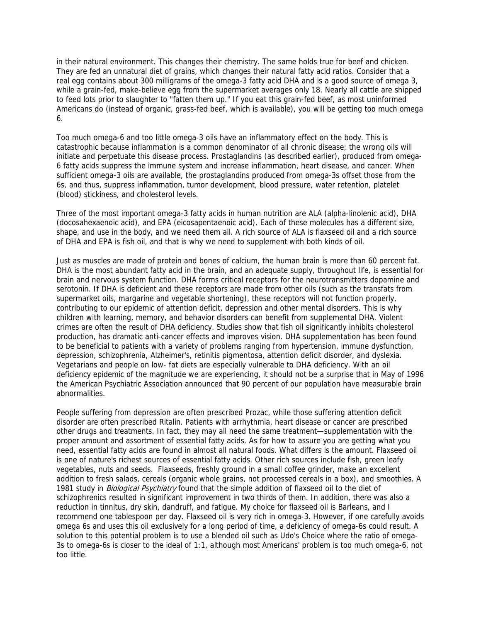in their natural environment. This changes their chemistry. The same holds true for beef and chicken. They are fed an unnatural diet of grains, which changes their natural fatty acid ratios. Consider that a real egg contains about 300 milligrams of the omega-3 fatty acid DHA and is a good source of omega 3, while a grain-fed, make-believe egg from the supermarket averages only 18. Nearly all cattle are shipped to feed lots prior to slaughter to "fatten them up." If you eat this grain-fed beef, as most uninformed Americans do (instead of organic, grass-fed beef, which is available), you will be getting too much omega 6.

Too much omega-6 and too little omega-3 oils have an inflammatory effect on the body. This is catastrophic because inflammation is a common denominator of all chronic disease; the wrong oils will initiate and perpetuate this disease process. Prostaglandins (as described earlier), produced from omega-6 fatty acids suppress the immune system and increase inflammation, heart disease, and cancer. When sufficient omega-3 oils are available, the prostaglandins produced from omega-3s offset those from the 6s, and thus, suppress inflammation, tumor development, blood pressure, water retention, platelet (blood) stickiness, and cholesterol levels.

Three of the most important omega-3 fatty acids in human nutrition are ALA (alpha-linolenic acid), DHA (docosahexaenoic acid), and EPA (eicosapentaenoic acid). Each of these molecules has a different size, shape, and use in the body, and we need them all. A rich source of ALA is flaxseed oil and a rich source of DHA and EPA is fish oil, and that is why we need to supplement with both kinds of oil.

Just as muscles are made of protein and bones of calcium, the human brain is more than 60 percent fat. DHA is the most abundant fatty acid in the brain, and an adequate supply, throughout life, is essential for brain and nervous system function. DHA forms critical receptors for the neurotransmitters dopamine and serotonin. If DHA is deficient and these receptors are made from other oils (such as the transfats from supermarket oils, margarine and vegetable shortening), these receptors will not function properly, contributing to our epidemic of attention deficit, depression and other mental disorders. This is why children with learning, memory, and behavior disorders can benefit from supplemental DHA. Violent crimes are often the result of DHA deficiency. Studies show that fish oil significantly inhibits cholesterol production, has dramatic anti-cancer effects and improves vision. DHA supplementation has been found to be beneficial to patients with a variety of problems ranging from hypertension, immune dysfunction, depression, schizophrenia, Alzheimer's, retinitis pigmentosa, attention deficit disorder, and dyslexia. Vegetarians and people on low- fat diets are especially vulnerable to DHA deficiency. With an oil deficiency epidemic of the magnitude we are experiencing, it should not be a surprise that in May of 1996 the American Psychiatric Association announced that 90 percent of our population have measurable brain abnormalities.

People suffering from depression are often prescribed Prozac, while those suffering attention deficit disorder are often prescribed Ritalin. Patients with arrhythmia, heart disease or cancer are prescribed other drugs and treatments. In fact, they may all need the same treatment—supplementation with the proper amount and assortment of essential fatty acids. As for how to assure you are getting what you need, essential fatty acids are found in almost all natural foods. What differs is the amount. Flaxseed oil is one of nature's richest sources of essential fatty acids. Other rich sources include fish, green leafy vegetables, nuts and seeds. Flaxseeds, freshly ground in a small coffee grinder, make an excellent addition to fresh salads, cereals (organic whole grains, not processed cereals in a box), and smoothies. A 1981 study in *Biological Psychiatry* found that the simple addition of flaxseed oil to the diet of schizophrenics resulted in significant improvement in two thirds of them. In addition, there was also a reduction in tinnitus, dry skin, dandruff, and fatigue. My choice for flaxseed oil is Barleans, and I recommend one tablespoon per day. Flaxseed oil is very rich in omega-3. However, if one carefully avoids omega 6s and uses this oil exclusively for a long period of time, a deficiency of omega-6s could result. A solution to this potential problem is to use a blended oil such as Udo's Choice where the ratio of omega-3s to omega-6s is closer to the ideal of 1:1, although most Americans' problem is too much omega-6, not too little.